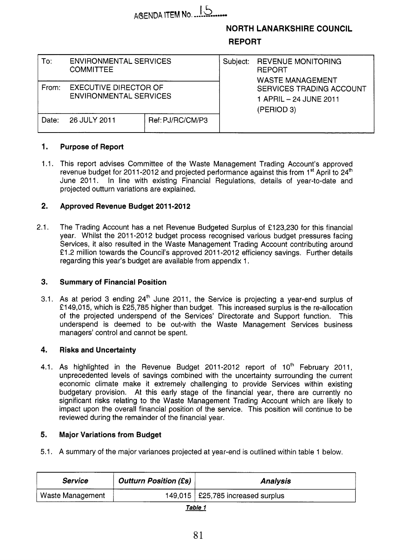# AGENDA ITEM No. 15

### **NORTH LANARKSHIRE COUNCIL REPORT**

| To:   | <b>ENVIRONMENTAL SERVICES</b><br><b>COMMITTEE</b>             |                  | Subject: | <b>REVENUE MONITORING</b><br><b>REPORT</b><br><b>WASTE MANAGEMENT</b>   |  |  |
|-------|---------------------------------------------------------------|------------------|----------|-------------------------------------------------------------------------|--|--|
| From: | <b>EXECUTIVE DIRECTOR OF</b><br><b>ENVIRONMENTAL SERVICES</b> |                  |          | <b>SERVICES TRADING ACCOUNT</b><br>1 APRIL - 24 JUNE 2011<br>(PERIOD 3) |  |  |
| Date: | 26 JULY 2011                                                  | Ref: PJ/RC/CM/P3 |          |                                                                         |  |  |

#### **1. Purpose of Report**

1.1. This report advises Committee of the Waste Management Trading Account's approved revenue budget for 2011-2012 and projected performance against this from 1<sup>st</sup> April to 24<sup>th</sup> June 2011. In line with existing Financial Regulations, details of year-to-date and projected outturn variations are explained.

#### **2. Approved Revenue Budget 201 1-201 2**

2.1. The Trading Account has a net Revenue Budgeted Surplus of €123,230 for this financial year. Whilst the 2011-2012 budget process recognised various budget pressures facing Services, it also resulted in the Waste Management Trading Account contributing around £1.2 million towards the Council's approved 2011-2012 efficiency savings. Further details regarding this year's budget are available from appendix 1.

#### **3. Summary of Financial Position**

3.1. As at period 3 ending 24<sup>th</sup> June 2011, the Service is projecting a year-end surplus of £149,015, which is £25,785 higher than budget. This increased surplus is the re-allocation of the projected underspend of the Services' Directorate and Support function. This underspend is deemed to be out-with the Waste Management Services business managers' control and cannot be spent.

#### **4. Risks and Uncertainty**

4.1. As highlighted in the Revenue Budget 2011-2012 report of 10<sup>th</sup> February 2011, unprecedented levels of savings combined with the uncertainty surrounding the current economic climate make it extremely challenging to provide Services within existing budgetary provision. At this early stage of the financial year, there are currently no significant risks relating to the Waste Management Trading Account which are likely to impact upon the overall financial position of the service. This position will continue to be reviewed during the remainder of the financial year.

#### **5. Major Variations from Budget**

5.1. A summary of the major variances projected at year-end is outlined within table 1 below.

| <b>Service</b>   | <b>Outturn Position (£s)</b> | <b>Analysis</b>                     |  |  |  |  |  |
|------------------|------------------------------|-------------------------------------|--|--|--|--|--|
| Waste Management |                              | 149,015   £25,785 increased surplus |  |  |  |  |  |
|                  |                              |                                     |  |  |  |  |  |

| г. |  |
|----|--|
|    |  |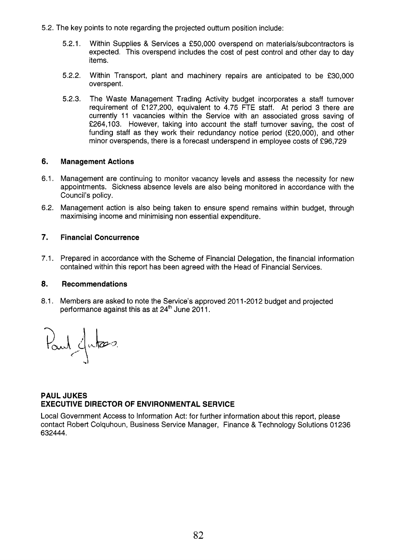- 5.2. The key points to note regarding the projected outturn position include:
	- 5.2.1. Within Supplies & Services a €50,000 overspend on materials/subcontractors is expected. This overspend includes the cost of pest control and other day to day items.
	- 5.2.2. Within Transport, plant and machinery repairs are anticipated to be €30,000 overspent.
	- 5.2.3. The Waste Management Trading Activity budget incorporates a staff turnover requirement of €127,200, equivalent to 4.75 FTE staff. At period 3 there are currently 11 vacancies within the Service with an associated gross saving of €264,103. However, taking into account the staff turnover saving, the cost of funding staff as they work their redundancy notice period (€20,000), and other minor overspends, there is a forecast underspend in employee costs of €96,729

### **6. Management Actions**

- 6.1. Management are continuing to monitor vacancy levels and assess the necessity for new appointments. Sickness absence levels are also being monitored in accordance with the Council's policy.
- 6.2. Management action is also being taken to ensure spend remains within budget, through maximising income and minimising non essential expenditure.

### **7. Financial Concurrence**

7.1. Prepared in accordance with the Scheme of Financial Delegation, the financial information contained within this report has been agreed with the Head of Financial Services.

### **8. Recommendations**

8.1. Members are asked to note the Service's approved 2011-2012 budget and projected performance against this as at 24<sup>th</sup> June 2011.

Paul Jutes

### **PAUL JUKES EXECUTIVE DIRECTOR OF ENVIRONMENTAL SERVICE**

Local Government Access to Information Act: for further information about this report, please contact Robert Colquhoun, Business Service Manager, Finance & Technology Solutions 01 236 632444.